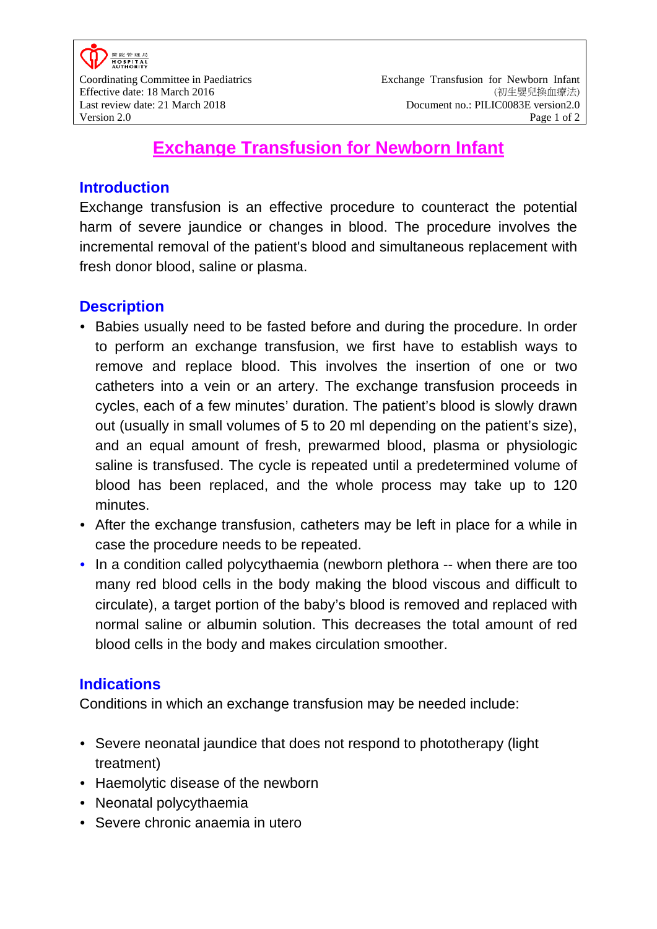# **Exchange Transfusion for Newborn Infant**

#### **Introduction**

Exchange transfusion is an effective procedure to counteract the potential harm of severe jaundice or changes in blood. The procedure involves the incremental removal of the patient's blood and simultaneous replacement with fresh donor blood, saline or plasma.

#### **Description**

- Babies usually need to be fasted before and during the procedure. In order to perform an exchange transfusion, we first have to establish ways to remove and replace blood. This involves the insertion of one or two catheters into a vein or an artery. The exchange transfusion proceeds in cycles, each of a few minutes' duration. The patient's blood is slowly drawn out (usually in small volumes of 5 to 20 ml depending on the patient's size), and an equal amount of fresh, prewarmed blood, plasma or physiologic saline is transfused. The cycle is repeated until a predetermined volume of blood has been replaced, and the whole process may take up to 120 minutes.
- After the exchange transfusion, catheters may be left in place for a while in case the procedure needs to be repeated.
- In a condition called polycythaemia (newborn plethora -- when there are too many red blood cells in the body making the blood viscous and difficult to circulate), a target portion of the baby's blood is removed and replaced with normal saline or albumin solution. This decreases the total amount of red blood cells in the body and makes circulation smoother.

#### **Indications**

Conditions in which an exchange transfusion may be needed include:

- Severe neonatal jaundice that does not respond to phototherapy (light) treatment)
- Haemolytic disease of the newborn
- Neonatal polycythaemia
- Severe chronic anaemia in utero